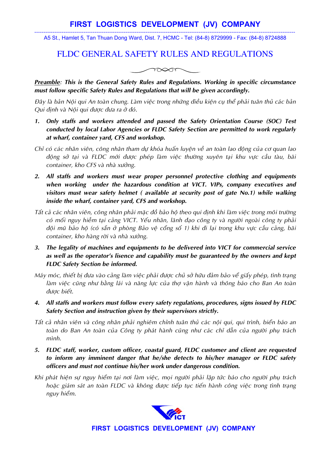## **FIRST LOGISTICS DEVELOPMENT (JV) COMPANY**

----------------------------------------------------------------------------------------------------------------------------------------------- A5 St., Hamlet 5, Tan Thuan Dong Ward, Dist. 7, HCMC - Tel: (84-8) 8729999 - Fax: (84-8) 8724888

## FLDC GENERAL SAFETY RULES AND REGULATIONS



*Preamble: This is the General Safety Rules and Regulations. Working in specific circumstance must follow specific Safety Rules and Regulations that will be given accordingly.* 

*Ñaây laø baûn Noäi qui An toaøn chung. Laøm vieäc trong nhöõng ñieàu kieän cuï theå phaûi tuaân thuû caùc baûn Qui ñònh vaø Noäi qui ñöôïc ñöa ra ôû ñoù.* 

- *1. Only staffs and workers attended and passed the Safety Orientation Course (SOC) Test conducted by local Labor Agencies or FLDC Safety Section are permitted to work regularly at wharf, container yard, CFS and workshop.*
- Chỉ có các nhân viên, công nhân tham dự khóa huấn luyện về an toàn lao động của cơ quan lao *ñoäng sôû taïi vaø FLDC môùi ñöôïc pheùp laøm vieäc thöôøng xuyeân taïi khu vöïc caàu taøu, baõi container, kho CFS và nhà xưởng.*
- *2. All staffs and workers must wear proper personnel protective clothing and equipments when working under the hazardous condition at VICT. VIPs, company executives and visitors must wear safety helmet ( available at security post of gate No.1) while walking inside the wharf, container yard, CFS and workshop.*
- *Taát caû caùc nhaân vieân, coâng nhaân phaûi maëc ñoà baûo hoä theo qui ñònh khi laøm vieäc trong moâi tröôøng coù moái nguy hieãm taïi caûng VICT. Yeáu nhaân, laõnh ñaïo coâng ty vaø ngöôøi ngoaøi coâng ty phaûi ñoäi muõ baûo hoä (coù saün ôû phoøng Baûo veä coång soá 1) khi ñi laïi trong khu vöïc caàu caûng, baõi container, kho hàng rời và nhà xưởng.*
- *3. The legality of machines and equipments to be delivered into VICT for commercial service as well as the operator's lisence and capability must be guaranteed by the owners and kept FLDC Safety Section be informed.*
- *Máy móc, thiết bị đưa vào cảng làm việc phải được chủ sở hữu đảm bảo về giấy phép, tình trạng* làm việc cũng như bằng lái và năng lực của thơ vân hành và thông báo cho Ban An toàn *ñöôïc bieát.*
- *4. All staffs and workers must follow every safety regulations, procedures, signs issued by FLDC Safety Section and instruction given by their supervisors strictly.*
- *Taát caû nhaân vieân vaø coâng nhaân phaûi nghieâm chænh tuaân thuû caùc noäi qui, qui trình, bieån baùo an*  toàn do Ban An toàn của Công ty phát hành cũng như các chỉ dẫn của người phụ trách *mình.*
- *5. FLDC staff, worker, custom officer, coastal guard, FLDC customer and client are requested to inform any imminent danger that he/she detects to his/her manager or FLDC safety officers and must not continue his/her work under dangerous condition.*
- Khi phát hiện sự nguy hiểm tại nơi làm việc, mọi người phải lập tức báo cho người phụ trách *hoaëc giaùm saùt an toaøn FLDC vaø khoâng ñöôïc tieáp tuïc tieán haønh coâng vieäc trong tình traïng nguy hieåm.*



**FIRST LOGISTICS DEVELOPMENT (JV) COMPANY**